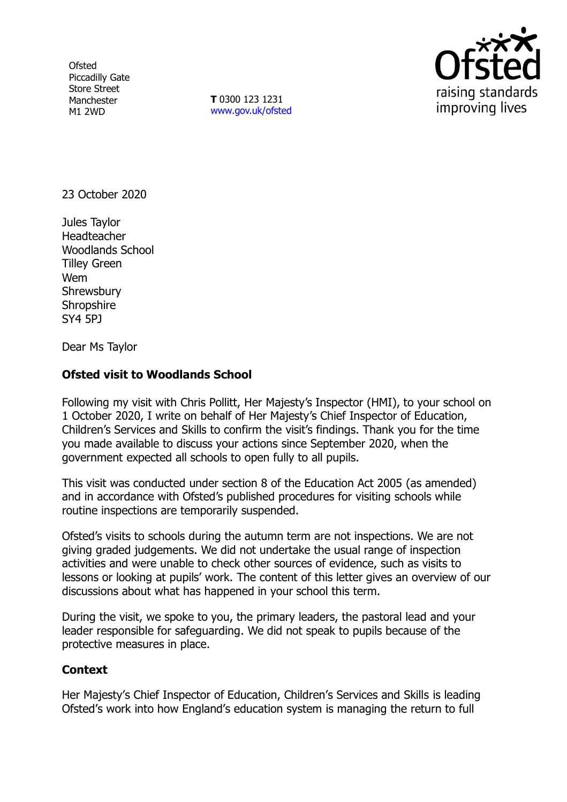**Ofsted** Piccadilly Gate Store Street Manchester M1 2WD

**T** 0300 123 1231 [www.gov.uk/ofsted](http://www.gov.uk/ofsted)



23 October 2020

Jules Taylor Headteacher Woodlands School Tilley Green Wem **Shrewsbury Shropshire** SY4 5PJ

Dear Ms Taylor

## **Ofsted visit to Woodlands School**

Following my visit with Chris Pollitt, Her Majesty's Inspector (HMI), to your school on 1 October 2020, I write on behalf of Her Majesty's Chief Inspector of Education, Children's Services and Skills to confirm the visit's findings. Thank you for the time you made available to discuss your actions since September 2020, when the government expected all schools to open fully to all pupils.

This visit was conducted under section 8 of the Education Act 2005 (as amended) and in accordance with Ofsted's published procedures for visiting schools while routine inspections are temporarily suspended.

Ofsted's visits to schools during the autumn term are not inspections. We are not giving graded judgements. We did not undertake the usual range of inspection activities and were unable to check other sources of evidence, such as visits to lessons or looking at pupils' work. The content of this letter gives an overview of our discussions about what has happened in your school this term.

During the visit, we spoke to you, the primary leaders, the pastoral lead and your leader responsible for safeguarding. We did not speak to pupils because of the protective measures in place.

## **Context**

Her Majesty's Chief Inspector of Education, Children's Services and Skills is leading Ofsted's work into how England's education system is managing the return to full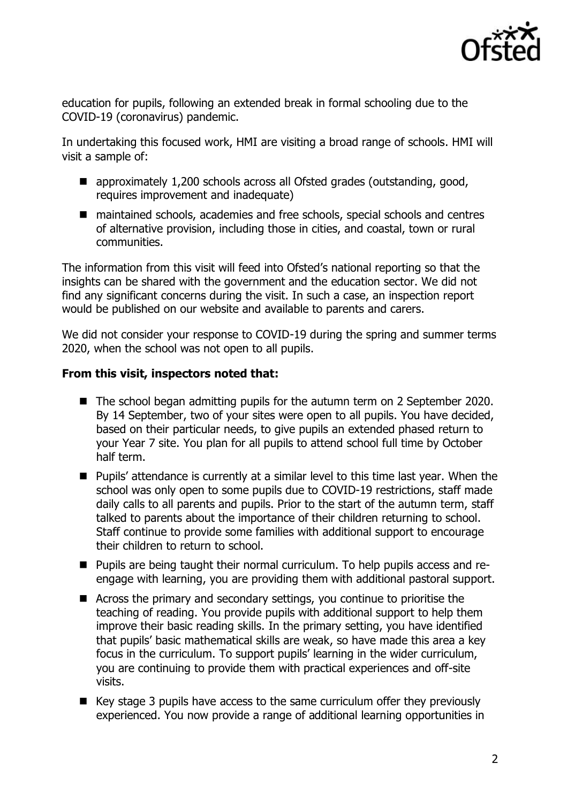

education for pupils, following an extended break in formal schooling due to the COVID-19 (coronavirus) pandemic.

In undertaking this focused work, HMI are visiting a broad range of schools. HMI will visit a sample of:

- approximately 1,200 schools across all Ofsted grades (outstanding, good, requires improvement and inadequate)
- maintained schools, academies and free schools, special schools and centres of alternative provision, including those in cities, and coastal, town or rural communities.

The information from this visit will feed into Ofsted's national reporting so that the insights can be shared with the government and the education sector. We did not find any significant concerns during the visit. In such a case, an inspection report would be published on our website and available to parents and carers.

We did not consider your response to COVID-19 during the spring and summer terms 2020, when the school was not open to all pupils.

## **From this visit, inspectors noted that:**

- The school began admitting pupils for the autumn term on 2 September 2020. By 14 September, two of your sites were open to all pupils. You have decided, based on their particular needs, to give pupils an extended phased return to your Year 7 site. You plan for all pupils to attend school full time by October half term.
- Pupils' attendance is currently at a similar level to this time last year. When the school was only open to some pupils due to COVID-19 restrictions, staff made daily calls to all parents and pupils. Prior to the start of the autumn term, staff talked to parents about the importance of their children returning to school. Staff continue to provide some families with additional support to encourage their children to return to school.
- Pupils are being taught their normal curriculum. To help pupils access and reengage with learning, you are providing them with additional pastoral support.
- Across the primary and secondary settings, you continue to prioritise the teaching of reading. You provide pupils with additional support to help them improve their basic reading skills. In the primary setting, you have identified that pupils' basic mathematical skills are weak, so have made this area a key focus in the curriculum. To support pupils' learning in the wider curriculum, you are continuing to provide them with practical experiences and off-site visits.
- Key stage 3 pupils have access to the same curriculum offer they previously experienced. You now provide a range of additional learning opportunities in